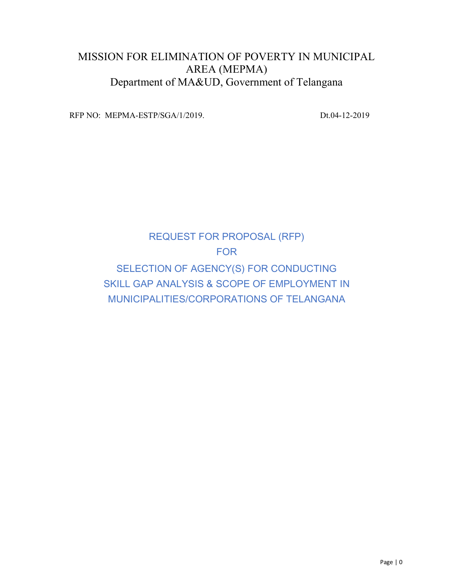# MISSION FOR ELIMINATION OF POVERTY IN MUNICIPAL AREA (MEPMA) Department of MA&UD, Government of Telangana

RFP NO: MEPMA-ESTP/SGA/1/2019. Dt.04-12-2019

# REQUEST FOR PROPOSAL (RFP) FOR SELECTION OF AGENCY(S) FOR CONDUCTING SKILL GAP ANALYSIS & SCOPE OF EMPLOYMENT IN MUNICIPALITIES/CORPORATIONS OF TELANGANA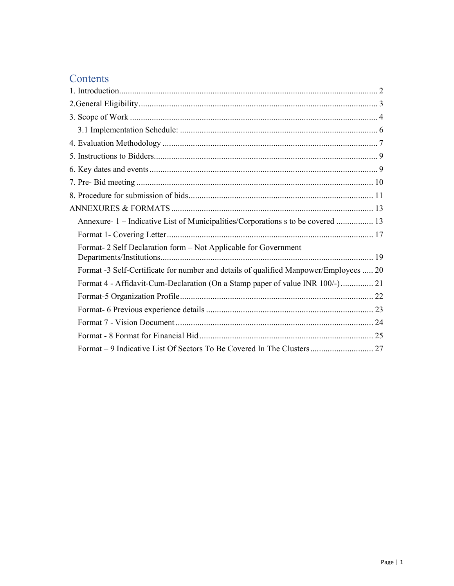# Contents

| Annexure- 1 – Indicative List of Municipalities/Corporations s to be covered  13      |
|---------------------------------------------------------------------------------------|
|                                                                                       |
| Format-2 Self Declaration form - Not Applicable for Government                        |
| Format -3 Self-Certificate for number and details of qualified Manpower/Employees  20 |
| Format 4 - Affidavit-Cum-Declaration (On a Stamp paper of value INR 100/-) 21         |
|                                                                                       |
|                                                                                       |
|                                                                                       |
|                                                                                       |
|                                                                                       |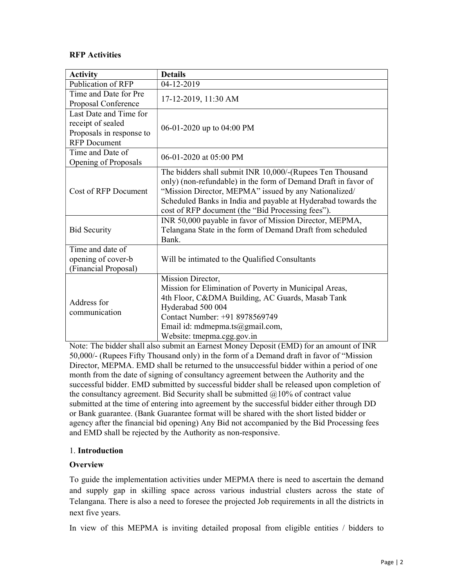# RFP Activities

| <b>Activity</b>                                                                                | <b>Details</b>                                                                                                                                                                                                                                                                                             |
|------------------------------------------------------------------------------------------------|------------------------------------------------------------------------------------------------------------------------------------------------------------------------------------------------------------------------------------------------------------------------------------------------------------|
| Publication of RFP                                                                             | 04-12-2019                                                                                                                                                                                                                                                                                                 |
| Time and Date for Pre<br>Proposal Conference                                                   | 17-12-2019, 11:30 AM                                                                                                                                                                                                                                                                                       |
| Last Date and Time for<br>receipt of sealed<br>Proposals in response to<br><b>RFP</b> Document | 06-01-2020 up to 04:00 PM                                                                                                                                                                                                                                                                                  |
| Time and Date of<br>Opening of Proposals                                                       | 06-01-2020 at $05:00$ PM                                                                                                                                                                                                                                                                                   |
| Cost of RFP Document                                                                           | The bidders shall submit INR 10,000/-(Rupees Ten Thousand<br>only) (non-refundable) in the form of Demand Draft in favor of<br>"Mission Director, MEPMA" issued by any Nationalized/<br>Scheduled Banks in India and payable at Hyderabad towards the<br>cost of RFP document (the "Bid Processing fees"). |
| <b>Bid Security</b>                                                                            | INR 50,000 payable in favor of Mission Director, MEPMA,<br>Telangana State in the form of Demand Draft from scheduled<br>Bank.                                                                                                                                                                             |
| Time and date of<br>opening of cover-b<br>(Financial Proposal)                                 | Will be intimated to the Qualified Consultants                                                                                                                                                                                                                                                             |
| Address for<br>communication                                                                   | Mission Director,<br>Mission for Elimination of Poverty in Municipal Areas,<br>4th Floor, C&DMA Building, AC Guards, Masab Tank<br>Hyderabad 500 004<br>Contact Number: +91 8978569749<br>Email id: mdmepma.ts@gmail.com,<br>Website: tmepma.cgg.gov.in                                                    |

Note: The bidder shall also submit an Earnest Money Deposit (EMD) for an amount of INR 50,000/- (Rupees Fifty Thousand only) in the form of a Demand draft in favor of "Mission Director, MEPMA. EMD shall be returned to the unsuccessful bidder within a period of one month from the date of signing of consultancy agreement between the Authority and the successful bidder. EMD submitted by successful bidder shall be released upon completion of the consultancy agreement. Bid Security shall be submitted  $@10\%$  of contract value submitted at the time of entering into agreement by the successful bidder either through DD or Bank guarantee. (Bank Guarantee format will be shared with the short listed bidder or agency after the financial bid opening) Any Bid not accompanied by the Bid Processing fees and EMD shall be rejected by the Authority as non-responsive.

#### 1. Introduction

#### **Overview**

To guide the implementation activities under MEPMA there is need to ascertain the demand and supply gap in skilling space across various industrial clusters across the state of Telangana. There is also a need to foresee the projected Job requirements in all the districts in next five years.

In view of this MEPMA is inviting detailed proposal from eligible entities / bidders to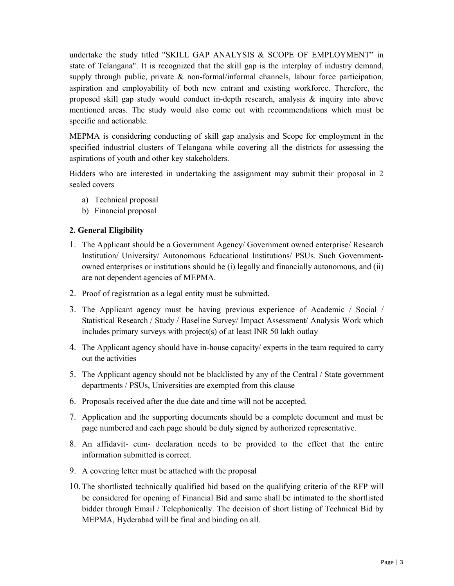undertake the study titled "SKILL GAP ANALYSIS & SCOPE OF EMPLOYMENT" in state of Telangana". It is recognized that the skill gap is the interplay of industry demand, supply through public, private & non-formal/informal channels, labour force participation, aspiration and employability of both new entrant and existing workforce. Therefore, the proposed skill gap study would conduct in-depth research, analysis & inquiry into above mentioned areas. The study would also come out with recommendations which must be specific and actionable.

MEPMA is considering conducting of skill gap analysis and Scope for employment in the specified industrial clusters of Telangana while covering all the districts for assessing the aspirations of youth and other key stakeholders.

Bidders who are interested in undertaking the assignment may submit their proposal in 2 sealed covers

- a) Technical proposal
- b) Financial proposal

#### 2. General Eligibility

- 1. The Applicant should be a Government Agency/ Government owned enterprise/ Research Institution/ University/ Autonomous Educational Institutions/ PSUs. Such Governmentowned enterprises or institutions should be (i) legally and financially autonomous, and (ii) are not dependent agencies of MEPMA.
- 2. Proof of registration as a legal entity must be submitted.
- 3. The Applicant agency must be having previous experience of Academic / Social / Statistical Research / Study / Baseline Survey/ Impact Assessment/ Analysis Work which includes primary surveys with project(s) of at least INR 50 lakh outlay
- 4. The Applicant agency should have in-house capacity/ experts in the team required to carry out the activities
- 5. The Applicant agency should not be blacklisted by any of the Central / State government departments / PSUs, Universities are exempted from this clause
- 6. Proposals received after the due date and time will not be accepted.
- 7. Application and the supporting documents should be a complete document and must be page numbered and each page should be duly signed by authorized representative.
- 8. An affidavit- cum- declaration needs to be provided to the effect that the entire information submitted is correct.
- 9. A covering letter must be attached with the proposal
- 10.The shortlisted technically qualified bid based on the qualifying criteria of the RFP will be considered for opening of Financial Bid and same shall be intimated to the shortlisted bidder through Email / Telephonically. The decision of short listing of Technical Bid by MEPMA, Hyderabad will be final and binding on all.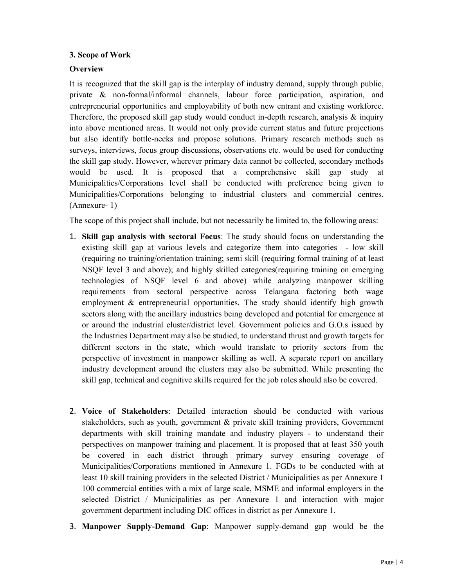### 3. Scope of Work

# **Overview**

It is recognized that the skill gap is the interplay of industry demand, supply through public, private & non-formal/informal channels, labour force participation, aspiration, and entrepreneurial opportunities and employability of both new entrant and existing workforce. Therefore, the proposed skill gap study would conduct in-depth research, analysis & inquiry into above mentioned areas. It would not only provide current status and future projections but also identify bottle-necks and propose solutions. Primary research methods such as surveys, interviews, focus group discussions, observations etc. would be used for conducting the skill gap study. However, wherever primary data cannot be collected, secondary methods would be used. It is proposed that a comprehensive skill gap study at Municipalities/Corporations level shall be conducted with preference being given to Municipalities/Corporations belonging to industrial clusters and commercial centres. (Annexure- 1)

The scope of this project shall include, but not necessarily be limited to, the following areas:

- 1. Skill gap analysis with sectoral Focus: The study should focus on understanding the existing skill gap at various levels and categorize them into categories - low skill (requiring no training/orientation training; semi skill (requiring formal training of at least NSQF level 3 and above); and highly skilled categories(requiring training on emerging technologies of NSQF level 6 and above) while analyzing manpower skilling requirements from sectoral perspective across Telangana factoring both wage employment & entrepreneurial opportunities. The study should identify high growth sectors along with the ancillary industries being developed and potential for emergence at or around the industrial cluster/district level. Government policies and G.O.s issued by the Industries Department may also be studied, to understand thrust and growth targets for different sectors in the state, which would translate to priority sectors from the perspective of investment in manpower skilling as well. A separate report on ancillary industry development around the clusters may also be submitted. While presenting the skill gap, technical and cognitive skills required for the job roles should also be covered.
- 2. Voice of Stakeholders: Detailed interaction should be conducted with various stakeholders, such as youth, government & private skill training providers, Government departments with skill training mandate and industry players - to understand their perspectives on manpower training and placement. It is proposed that at least 350 youth be covered in each district through primary survey ensuring coverage of Municipalities/Corporations mentioned in Annexure 1. FGDs to be conducted with at least 10 skill training providers in the selected District / Municipalities as per Annexure 1 100 commercial entities with a mix of large scale, MSME and informal employers in the selected District / Municipalities as per Annexure 1 and interaction with major government department including DIC offices in district as per Annexure 1.
- 3. Manpower Supply-Demand Gap: Manpower supply-demand gap would be the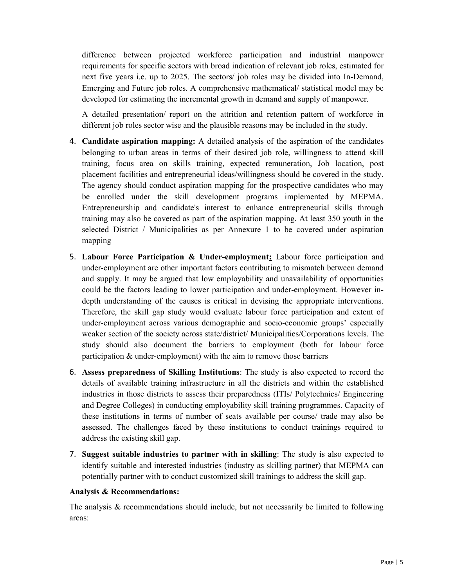difference between projected workforce participation and industrial manpower requirements for specific sectors with broad indication of relevant job roles, estimated for next five years i.e. up to 2025. The sectors/ job roles may be divided into In-Demand, Emerging and Future job roles. A comprehensive mathematical/ statistical model may be developed for estimating the incremental growth in demand and supply of manpower.

A detailed presentation/ report on the attrition and retention pattern of workforce in different job roles sector wise and the plausible reasons may be included in the study.

- 4. Candidate aspiration mapping: A detailed analysis of the aspiration of the candidates belonging to urban areas in terms of their desired job role, willingness to attend skill training, focus area on skills training, expected remuneration, Job location, post placement facilities and entrepreneurial ideas/willingness should be covered in the study. The agency should conduct aspiration mapping for the prospective candidates who may be enrolled under the skill development programs implemented by MEPMA. Entrepreneurship and candidate's interest to enhance entrepreneurial skills through training may also be covered as part of the aspiration mapping. At least 350 youth in the selected District / Municipalities as per Annexure 1 to be covered under aspiration mapping
- 5. Labour Force Participation & Under-employment: Labour force participation and under-employment are other important factors contributing to mismatch between demand and supply. It may be argued that low employability and unavailability of opportunities could be the factors leading to lower participation and under-employment. However indepth understanding of the causes is critical in devising the appropriate interventions. Therefore, the skill gap study would evaluate labour force participation and extent of under-employment across various demographic and socio-economic groups' especially weaker section of the society across state/district/ Municipalities/Corporations levels. The study should also document the barriers to employment (both for labour force participation & under-employment) with the aim to remove those barriers
- 6. Assess preparedness of Skilling Institutions: The study is also expected to record the details of available training infrastructure in all the districts and within the established industries in those districts to assess their preparedness (ITIs/ Polytechnics/ Engineering and Degree Colleges) in conducting employability skill training programmes. Capacity of these institutions in terms of number of seats available per course/ trade may also be assessed. The challenges faced by these institutions to conduct trainings required to address the existing skill gap.
- 7. Suggest suitable industries to partner with in skilling: The study is also expected to identify suitable and interested industries (industry as skilling partner) that MEPMA can potentially partner with to conduct customized skill trainings to address the skill gap.

#### Analysis & Recommendations:

The analysis  $\&$  recommendations should include, but not necessarily be limited to following areas: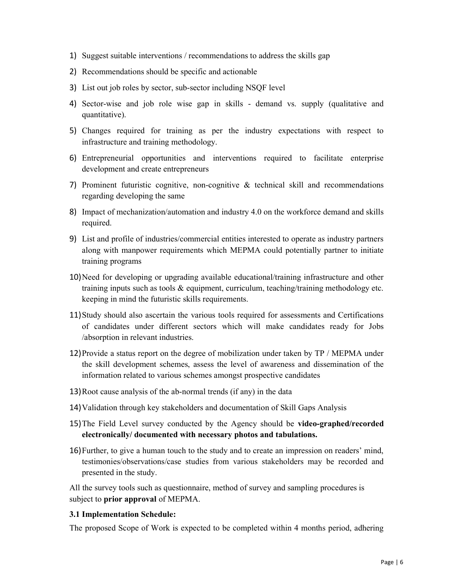- 1) Suggest suitable interventions / recommendations to address the skills gap
- 2) Recommendations should be specific and actionable
- 3) List out job roles by sector, sub-sector including NSQF level
- 4) Sector-wise and job role wise gap in skills demand vs. supply (qualitative and quantitative).
- 5) Changes required for training as per the industry expectations with respect to infrastructure and training methodology.
- 6) Entrepreneurial opportunities and interventions required to facilitate enterprise development and create entrepreneurs
- 7) Prominent futuristic cognitive, non-cognitive & technical skill and recommendations regarding developing the same
- 8) Impact of mechanization/automation and industry 4.0 on the workforce demand and skills required.
- 9) List and profile of industries/commercial entities interested to operate as industry partners along with manpower requirements which MEPMA could potentially partner to initiate training programs
- 10)Need for developing or upgrading available educational/training infrastructure and other training inputs such as tools & equipment, curriculum, teaching/training methodology etc. keeping in mind the futuristic skills requirements.
- 11)Study should also ascertain the various tools required for assessments and Certifications of candidates under different sectors which will make candidates ready for Jobs /absorption in relevant industries.
- 12)Provide a status report on the degree of mobilization under taken by TP / MEPMA under the skill development schemes, assess the level of awareness and dissemination of the information related to various schemes amongst prospective candidates
- 13)Root cause analysis of the ab-normal trends (if any) in the data
- 14)Validation through key stakeholders and documentation of Skill Gaps Analysis
- 15)The Field Level survey conducted by the Agency should be video-graphed/recorded electronically/ documented with necessary photos and tabulations.
- 16)Further, to give a human touch to the study and to create an impression on readers' mind, testimonies/observations/case studies from various stakeholders may be recorded and presented in the study.

All the survey tools such as questionnaire, method of survey and sampling procedures is subject to prior approval of MEPMA.

#### 3.1 Implementation Schedule:

The proposed Scope of Work is expected to be completed within 4 months period, adhering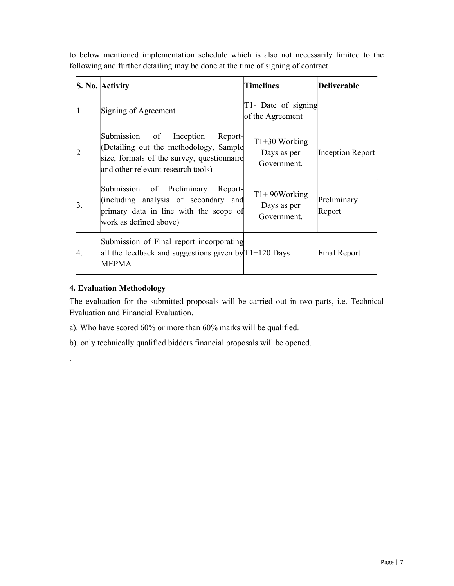to below mentioned implementation schedule which is also not necessarily limited to the following and further detailing may be done at the time of signing of contract

|    | S. No. Activity                                                                                                                                                  | <b>Timelines</b>                              | Deliverable             |
|----|------------------------------------------------------------------------------------------------------------------------------------------------------------------|-----------------------------------------------|-------------------------|
|    | Signing of Agreement                                                                                                                                             | $[T1 - Date of signing]$<br>of the Agreement  |                         |
|    | Submission of<br>Inception Report-<br>(Detailing out the methodology, Sample<br>size, formats of the survey, questionnaire<br>and other relevant research tools) | $T1+30$ Working<br>Days as per<br>Government. | <b>Inception Report</b> |
| 3. | Submission of Preliminary<br>Report-<br>(including analysis of secondary and<br>primary data in line with the scope of<br>work as defined above)                 | $T1+90Working$<br>Days as per<br>Government.  | Preliminary<br>Report   |
| 4. | Submission of Final report incorporating<br>all the feedback and suggestions given by $T1+120$ Days<br><b>MEPMA</b>                                              |                                               | Final Report            |

# 4. Evaluation Methodology

.

The evaluation for the submitted proposals will be carried out in two parts, i.e. Technical Evaluation and Financial Evaluation.

- a). Who have scored 60% or more than 60% marks will be qualified.
- b). only technically qualified bidders financial proposals will be opened.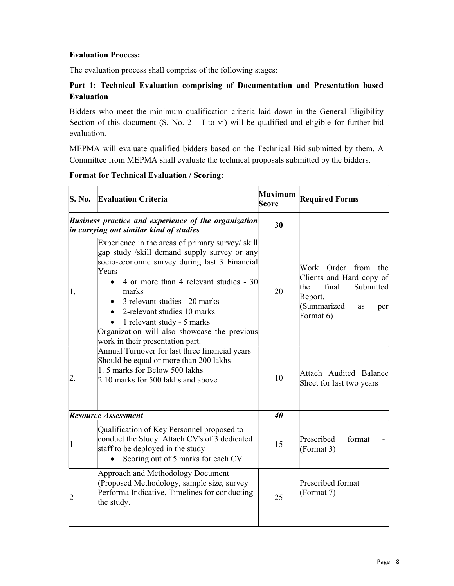### Evaluation Process:

The evaluation process shall comprise of the following stages:

# Part 1: Technical Evaluation comprising of Documentation and Presentation based Evaluation

Bidders who meet the minimum qualification criteria laid down in the General Eligibility Section of this document (S. No.  $2 - I$  to vi) will be qualified and eligible for further bid evaluation.

MEPMA will evaluate qualified bidders based on the Technical Bid submitted by them. A Committee from MEPMA shall evaluate the technical proposals submitted by the bidders.

 $\mathbf{I}$ 

|             | S. No. Evaluation Criteria                                                                                                                                                                                                                                                                                                                                                                        | Maximum<br>Score | <b>Required Forms</b>                                                                                                                   |
|-------------|---------------------------------------------------------------------------------------------------------------------------------------------------------------------------------------------------------------------------------------------------------------------------------------------------------------------------------------------------------------------------------------------------|------------------|-----------------------------------------------------------------------------------------------------------------------------------------|
|             | <b>Business practice and experience of the organization</b><br>in carrying out similar kind of studies                                                                                                                                                                                                                                                                                            | 30               |                                                                                                                                         |
| 1.          | Experience in the areas of primary survey/ skill<br>gap study /skill demand supply survey or any<br>socio-economic survey during last 3 Financial<br>Years<br>4 or more than 4 relevant studies - 30<br>marks<br>• 3 relevant studies - 20 marks<br>2-relevant studies 10 marks<br>1 relevant study - 5 marks<br>Organization will also showcase the previous<br>work in their presentation part. | 20               | Work Order from the<br>Clients and Hard copy of<br>final<br>Submitted<br>the<br>Report.<br>(Summarized<br><b>as</b><br>per<br>Format 6) |
| 2.          | Annual Turnover for last three financial years<br>Should be equal or more than 200 lakhs<br>1.5 marks for Below 500 lakhs<br>2.10 marks for 500 lakhs and above                                                                                                                                                                                                                                   | 10               | Attach Audited Balance<br>Sheet for last two years                                                                                      |
|             | Resource Assessment                                                                                                                                                                                                                                                                                                                                                                               | 40               |                                                                                                                                         |
| $\mathbf 1$ | Qualification of Key Personnel proposed to<br>conduct the Study. Attach CV's of 3 dedicated<br>staff to be deployed in the study<br>Scoring out of 5 marks for each CV                                                                                                                                                                                                                            | 15               | Prescribed<br>format<br>(Format 3)                                                                                                      |
| 2           | <b>Approach and Methodology Document</b><br>(Proposed Methodology, sample size, survey<br>Performa Indicative, Timelines for conducting<br>the study.                                                                                                                                                                                                                                             | 25               | Prescribed format<br>(Format 7)                                                                                                         |

#### Format for Technical Evaluation / Scoring: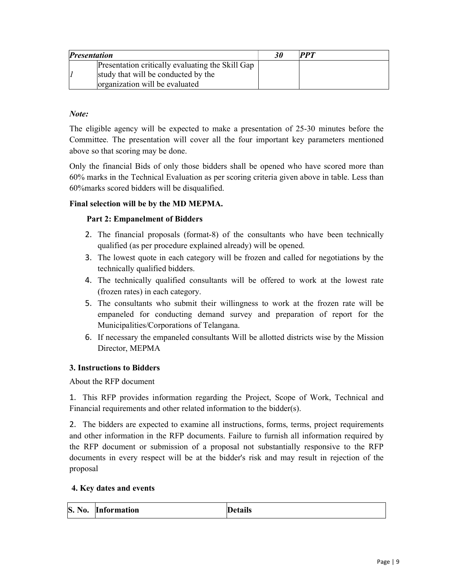| <i>Presentation</i>                              | $\bm{PPT}$ |
|--------------------------------------------------|------------|
| Presentation critically evaluating the Skill Gap |            |
| study that will be conducted by the              |            |
| organization will be evaluated                   |            |

### Note:

The eligible agency will be expected to make a presentation of 25-30 minutes before the Committee. The presentation will cover all the four important key parameters mentioned above so that scoring may be done.

Only the financial Bids of only those bidders shall be opened who have scored more than 60% marks in the Technical Evaluation as per scoring criteria given above in table. Less than 60%marks scored bidders will be disqualified.

# Final selection will be by the MD MEPMA.

# Part 2: Empanelment of Bidders

- 2. The financial proposals (format-8) of the consultants who have been technically qualified (as per procedure explained already) will be opened.
- 3. The lowest quote in each category will be frozen and called for negotiations by the technically qualified bidders.
- 4. The technically qualified consultants will be offered to work at the lowest rate (frozen rates) in each category.
- 5. The consultants who submit their willingness to work at the frozen rate will be empaneled for conducting demand survey and preparation of report for the Municipalities/Corporations of Telangana.
- 6. If necessary the empaneled consultants Will be allotted districts wise by the Mission Director, MEPMA

#### 3. Instructions to Bidders

About the RFP document

1. This RFP provides information regarding the Project, Scope of Work, Technical and Financial requirements and other related information to the bidder(s).

2. The bidders are expected to examine all instructions, forms, terms, project requirements and other information in the RFP documents. Failure to furnish all information required by the RFP document or submission of a proposal not substantially responsive to the RFP documents in every respect will be at the bidder's risk and may result in rejection of the proposal

#### 4. Key dates and events

| <b>S. No.</b> | <b>Information</b> | <b>Details</b> |
|---------------|--------------------|----------------|
|               |                    |                |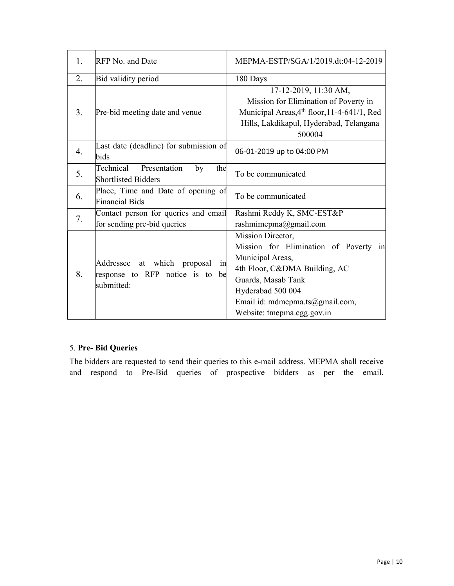| 1. | RFP No. and Date                                                                      | MEPMA-ESTP/SGA/1/2019.dt:04-12-2019                                                                                                                                                                                         |  |  |
|----|---------------------------------------------------------------------------------------|-----------------------------------------------------------------------------------------------------------------------------------------------------------------------------------------------------------------------------|--|--|
| 2. | Bid validity period                                                                   | 180 Days                                                                                                                                                                                                                    |  |  |
| 3. | Pre-bid meeting date and venue                                                        | 17-12-2019, 11:30 AM,<br>Mission for Elimination of Poverty in<br>Municipal Areas, 4th floor, 11-4-641/1, Red<br>Hills, Lakdikapul, Hyderabad, Telangana<br>500004                                                          |  |  |
| 4. | Last date (deadline) for submission of<br>bids                                        | 06-01-2019 up to 04:00 PM                                                                                                                                                                                                   |  |  |
| 5. | Technical Presentation<br>by<br>the<br><b>Shortlisted Bidders</b>                     | To be communicated                                                                                                                                                                                                          |  |  |
| 6. | Place, Time and Date of opening of<br>Financial Bids                                  | To be communicated                                                                                                                                                                                                          |  |  |
| 7. | Contact person for queries and email<br>for sending pre-bid queries                   | Rashmi Reddy K, SMC-EST&P<br>rashmimepma@gmail.com                                                                                                                                                                          |  |  |
| 8. | Addressee at which proposal<br>in<br>response to RFP notice is to<br>be<br>submitted: | Mission Director,<br>Mission for Elimination of Poverty in<br>Municipal Areas,<br>4th Floor, C&DMA Building, AC<br>Guards, Masab Tank<br>Hyderabad 500 004<br>Email id: mdmepma.ts@gmail.com,<br>Website: tmepma.cgg.gov.in |  |  |

# 5. Pre- Bid Queries

The bidders are requested to send their queries to this e-mail address. MEPMA shall receive and respond to Pre-Bid queries of prospective bidders as per the email.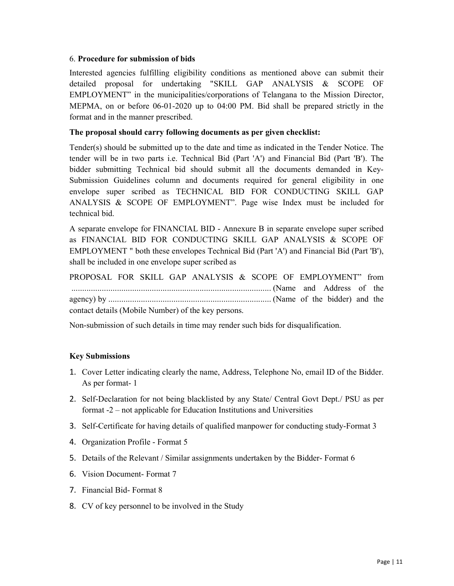#### 6. Procedure for submission of bids

Interested agencies fulfilling eligibility conditions as mentioned above can submit their detailed proposal for undertaking "SKILL GAP ANALYSIS & SCOPE OF EMPLOYMENT" in the municipalities/corporations of Telangana to the Mission Director, MEPMA, on or before 06-01-2020 up to 04:00 PM. Bid shall be prepared strictly in the format and in the manner prescribed.

#### The proposal should carry following documents as per given checklist:

Tender(s) should be submitted up to the date and time as indicated in the Tender Notice. The tender will be in two parts i.e. Technical Bid (Part 'A') and Financial Bid (Part 'B'). The bidder submitting Technical bid should submit all the documents demanded in Key-Submission Guidelines column and documents required for general eligibility in one envelope super scribed as TECHNICAL BID FOR CONDUCTING SKILL GAP ANALYSIS & SCOPE OF EMPLOYMENT". Page wise Index must be included for technical bid.

A separate envelope for FINANCIAL BID - Annexure B in separate envelope super scribed as FINANCIAL BID FOR CONDUCTING SKILL GAP ANALYSIS & SCOPE OF EMPLOYMENT " both these envelopes Technical Bid (Part 'A') and Financial Bid (Part 'B'), shall be included in one envelope super scribed as

PROPOSAL FOR SKILL GAP ANALYSIS & SCOPE OF EMPLOYMENT" from ............................................................................................ (Name and Address of the agency) by ........................................................................... (Name of the bidder) and the contact details (Mobile Number) of the key persons.

Non-submission of such details in time may render such bids for disqualification.

#### Key Submissions

- 1. Cover Letter indicating clearly the name, Address, Telephone No, email ID of the Bidder. As per format- 1
- 2. Self-Declaration for not being blacklisted by any State/ Central Govt Dept./ PSU as per format -2 – not applicable for Education Institutions and Universities
- 3. Self-Certificate for having details of qualified manpower for conducting study-Format 3
- 4. Organization Profile Format 5
- 5. Details of the Relevant / Similar assignments undertaken by the Bidder- Format 6
- 6. Vision Document- Format 7
- 7. Financial Bid- Format 8
- 8. CV of key personnel to be involved in the Study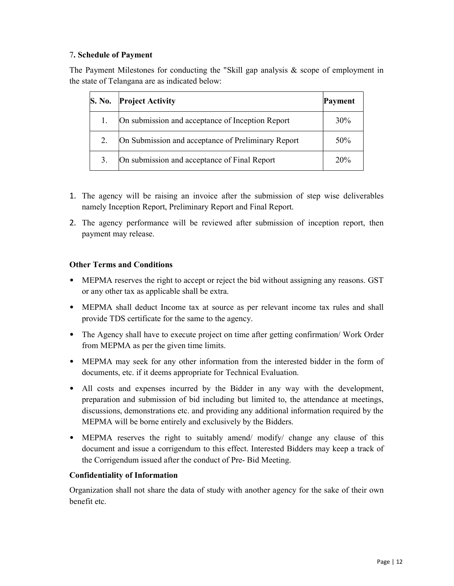# 7. Schedule of Payment

The Payment Milestones for conducting the "Skill gap analysis  $\&$  scope of employment in the state of Telangana are as indicated below:

| <b>S. No.</b> | <b>Project Activity</b>                            | Payment |
|---------------|----------------------------------------------------|---------|
|               | On submission and acceptance of Inception Report   | 30%     |
| 2.            | On Submission and acceptance of Preliminary Report | 50%     |
| 3.            | On submission and acceptance of Final Report       | 20%     |

- 1. The agency will be raising an invoice after the submission of step wise deliverables namely Inception Report, Preliminary Report and Final Report.
- 2. The agency performance will be reviewed after submission of inception report, then payment may release.

#### Other Terms and Conditions

- MEPMA reserves the right to accept or reject the bid without assigning any reasons. GST or any other tax as applicable shall be extra.
- MEPMA shall deduct Income tax at source as per relevant income tax rules and shall provide TDS certificate for the same to the agency.
- The Agency shall have to execute project on time after getting confirmation/ Work Order from MEPMA as per the given time limits.
- MEPMA may seek for any other information from the interested bidder in the form of documents, etc. if it deems appropriate for Technical Evaluation.
- All costs and expenses incurred by the Bidder in any way with the development, preparation and submission of bid including but limited to, the attendance at meetings, discussions, demonstrations etc. and providing any additional information required by the MEPMA will be borne entirely and exclusively by the Bidders.
- MEPMA reserves the right to suitably amend/ modify/ change any clause of this document and issue a corrigendum to this effect. Interested Bidders may keep a track of the Corrigendum issued after the conduct of Pre- Bid Meeting.

#### Confidentiality of Information

Organization shall not share the data of study with another agency for the sake of their own benefit etc.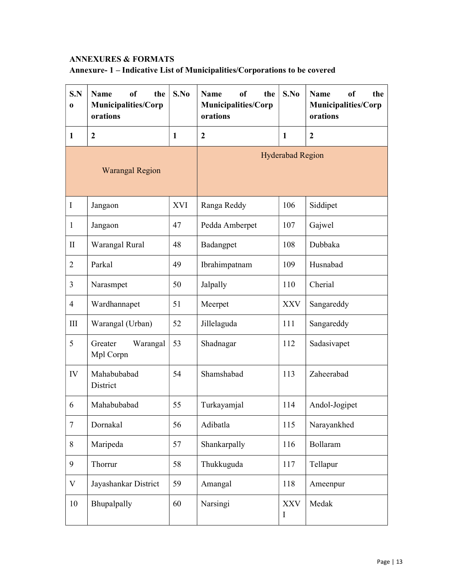# ANNEXURES & FORMATS

# Annexure- 1 – Indicative List of Municipalities/Corporations to be covered

| S.N<br>$\bf{0}$ | <b>Name</b><br><sub>of</sub><br>the<br>Municipalities/Corp<br>orations | S.No         | <b>Name</b><br><sub>of</sub><br>the<br>Municipalities/Corp<br>orations | S.No                      | <b>Name</b><br><sub>of</sub><br>the<br>Municipalities/Corp<br>orations |
|-----------------|------------------------------------------------------------------------|--------------|------------------------------------------------------------------------|---------------------------|------------------------------------------------------------------------|
| 1               | $\overline{2}$                                                         | $\mathbf{1}$ | $\overline{2}$                                                         | $\mathbf{1}$              | $\mathbf{2}$                                                           |
|                 | <b>Warangal Region</b>                                                 |              |                                                                        | <b>Hyderabad Region</b>   |                                                                        |
| I               | Jangaon                                                                | XVI          | Ranga Reddy                                                            | 106                       | Siddipet                                                               |
| $\mathbf{1}$    | Jangaon                                                                | 47           | Pedda Amberpet                                                         | 107                       | Gajwel                                                                 |
| $\mathbf{I}$    | Warangal Rural                                                         | 48           | Badangpet                                                              | 108                       | Dubbaka                                                                |
| $\overline{2}$  | Parkal                                                                 | 49           | Ibrahimpatnam                                                          | 109                       | Husnabad                                                               |
| $\overline{3}$  | Narasmpet                                                              | 50           | Jalpally                                                               | 110                       | Cherial                                                                |
| $\overline{4}$  | Wardhannapet                                                           | 51           | Meerpet                                                                | <b>XXV</b>                | Sangareddy                                                             |
| III             | Warangal (Urban)                                                       | 52           | Jillelaguda                                                            | 111                       | Sangareddy                                                             |
| 5               | Greater<br>Warangal<br>Mpl Corpn                                       | 53           | Shadnagar                                                              | 112                       | Sadasivapet                                                            |
| ${\rm IV}$      | Mahabubabad<br>District                                                | 54           | Shamshabad                                                             | 113                       | Zaheerabad                                                             |
| 6               | Mahabubabad                                                            | 55           | Turkayamjal                                                            | 114                       | Andol-Jogipet                                                          |
| $\tau$          | Dornakal                                                               | 56           | Adibatla                                                               | 115                       | Narayankhed                                                            |
| 8               | Maripeda                                                               | 57           | Shankarpally                                                           | 116                       | Bollaram                                                               |
| 9               | Thorrur                                                                | 58           | Thukkuguda                                                             | 117                       | Tellapur                                                               |
| V               | Jayashankar District                                                   | 59           | Amangal                                                                | 118                       | Ameenpur                                                               |
| 10              | Bhupalpally                                                            | 60           | Narsingi                                                               | <b>XXV</b><br>$\mathbf I$ | Medak                                                                  |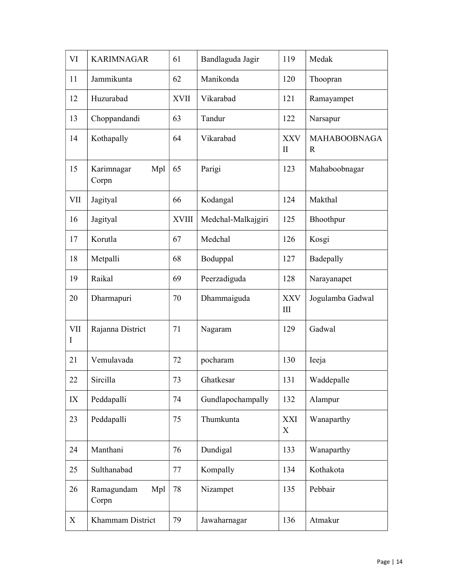| VI       | <b>KARIMNAGAR</b>          | 61           | Bandlaguda Jagir   | 119                        | Medak                              |
|----------|----------------------------|--------------|--------------------|----------------------------|------------------------------------|
| 11       | Jammikunta                 | 62           | Manikonda          | 120                        | Thoopran                           |
| 12       | Huzurabad                  | <b>XVII</b>  | Vikarabad          | 121                        | Ramayampet                         |
| 13       | Choppandandi               | 63           | Tandur             | 122                        | Narsapur                           |
| 14       | Kothapally                 | 64           | Vikarabad          | <b>XXV</b><br>$\mathbf{I}$ | <b>MAHABOOBNAGA</b><br>$\mathbf R$ |
| 15       | Karimnagar<br>Mpl<br>Corpn | 65           | Parigi             | 123                        | Mahaboobnagar                      |
| VII      | Jagityal                   | 66           | Kodangal           | 124                        | Makthal                            |
| 16       | Jagityal                   | <b>XVIII</b> | Medchal-Malkajgiri | 125                        | Bhoothpur                          |
| 17       | Korutla                    | 67           | Medchal            | 126                        | Kosgi                              |
| 18       | Metpalli                   | 68           | Boduppal           | 127                        | Badepally                          |
| 19       | Raikal                     | 69           | Peerzadiguda       | 128                        | Narayanapet                        |
|          |                            |              |                    |                            |                                    |
| 20       | Dharmapuri                 | 70           | Dhammaiguda        | <b>XXV</b><br>III          | Jogulamba Gadwal                   |
| VII<br>Ι | Rajanna District           | 71           | Nagaram            | 129                        | Gadwal                             |
| 21       | Vemulavada                 | 72           | pocharam           | 130                        | Ieeja                              |
| 22       | Sircilla                   | 73           | Ghatkesar          | 131                        | Waddepalle                         |
| IX       | Peddapalli                 | 74           | Gundlapochampally  | 132                        | Alampur                            |
| 23       | Peddapalli                 | 75           | Thumkunta          | XXI<br>X                   | Wanaparthy                         |
| 24       | Manthani                   | 76           | Dundigal           | 133                        | Wanaparthy                         |
| 25       | Sulthanabad                | 77           | Kompally           | 134                        | Kothakota                          |
| 26       | Ramagundam<br>Mpl<br>Corpn | 78           | Nizampet           | 135                        | Pebbair                            |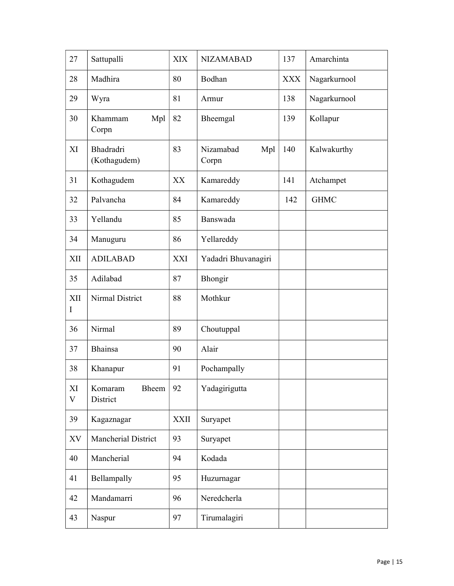| 27                | Sattupalli                       | <b>XIX</b>  | <b>NIZAMABAD</b>          | 137        | Amarchinta   |
|-------------------|----------------------------------|-------------|---------------------------|------------|--------------|
| 28                | Madhira                          | 80          | Bodhan                    | <b>XXX</b> | Nagarkurnool |
| 29                | Wyra                             | 81          | Armur                     | 138        | Nagarkurnool |
| 30                | Mpl<br>Khammam<br>Corpn          | 82          | Bheemgal                  | 139        | Kollapur     |
| XI                | <b>Bhadradri</b><br>(Kothagudem) | 83          | Nizamabad<br>Mpl<br>Corpn | 140        | Kalwakurthy  |
| 31                | Kothagudem                       | XX          | Kamareddy                 | 141        | Atchampet    |
| 32                | Palvancha                        | 84          | Kamareddy                 | 142        | <b>GHMC</b>  |
| 33                | Yellandu                         | 85          | Banswada                  |            |              |
| 34                | Manuguru                         | 86          | Yellareddy                |            |              |
| XII               | <b>ADILABAD</b>                  | XXI         | Yadadri Bhuvanagiri       |            |              |
| 35                | Adilabad                         | 87          | Bhongir                   |            |              |
| XII<br>Ι          | Nirmal District                  | 88          | Mothkur                   |            |              |
| 36                | Nirmal                           | 89          | Choutuppal                |            |              |
| 37                | <b>Bhainsa</b>                   | 90          | Alair                     |            |              |
| 38                | Khanapur                         | 91          | Pochampally               |            |              |
| XI<br>$\mathbf V$ | Komaram<br>Bheem<br>District     | 92          | Yadagirigutta             |            |              |
| 39                | Kagaznagar                       | <b>XXII</b> | Suryapet                  |            |              |
| XV                | <b>Mancherial District</b>       | 93          | Suryapet                  |            |              |
| 40                | Mancherial                       | 94          | Kodada                    |            |              |
| 41                | Bellampally                      | 95          | Huzurnagar                |            |              |
| 42                | Mandamarri                       | 96          | Neredcherla               |            |              |
| 43                | Naspur                           | 97          | Tirumalagiri              |            |              |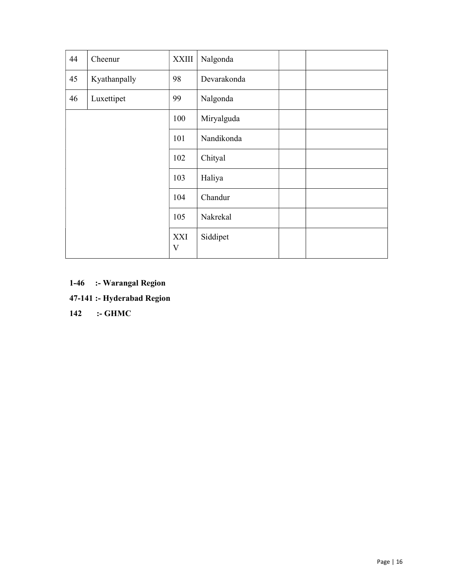| 44 | Cheenur      | <b>XXIII</b>        | Nalgonda    |  |
|----|--------------|---------------------|-------------|--|
| 45 | Kyathanpally | 98                  | Devarakonda |  |
| 46 | Luxettipet   | 99                  | Nalgonda    |  |
|    |              | 100                 | Miryalguda  |  |
|    |              | 101                 | Nandikonda  |  |
|    |              | 102                 | Chityal     |  |
|    |              | 103                 | Haliya      |  |
|    |              | 104                 | Chandur     |  |
|    |              | 105                 | Nakrekal    |  |
|    |              | XXI<br>$\mathbf{V}$ | Siddipet    |  |

1-46 :- Warangal Region

47-141 :- Hyderabad Region

142 :- GHMC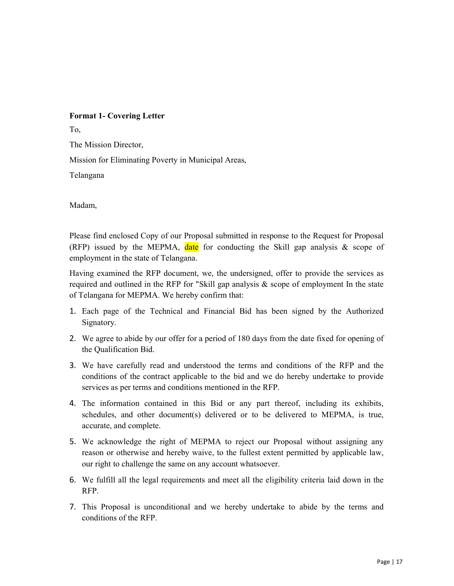# Format 1- Covering Letter

To,

The Mission Director,

Mission for Eliminating Poverty in Municipal Areas,

Telangana

Madam,

Please find enclosed Copy of our Proposal submitted in response to the Request for Proposal (RFP) issued by the MEPMA, date for conducting the Skill gap analysis  $\&$  scope of employment in the state of Telangana.

Having examined the RFP document, we, the undersigned, offer to provide the services as required and outlined in the RFP for "Skill gap analysis & scope of employment In the state of Telangana for MEPMA. We hereby confirm that:

- 1. Each page of the Technical and Financial Bid has been signed by the Authorized Signatory.
- 2. We agree to abide by our offer for a period of 180 days from the date fixed for opening of the Qualification Bid.
- 3. We have carefully read and understood the terms and conditions of the RFP and the conditions of the contract applicable to the bid and we do hereby undertake to provide services as per terms and conditions mentioned in the RFP.
- 4. The information contained in this Bid or any part thereof, including its exhibits, schedules, and other document(s) delivered or to be delivered to MEPMA, is true, accurate, and complete.
- 5. We acknowledge the right of MEPMA to reject our Proposal without assigning any reason or otherwise and hereby waive, to the fullest extent permitted by applicable law, our right to challenge the same on any account whatsoever.
- 6. We fulfill all the legal requirements and meet all the eligibility criteria laid down in the RFP.
- 7. This Proposal is unconditional and we hereby undertake to abide by the terms and conditions of the RFP.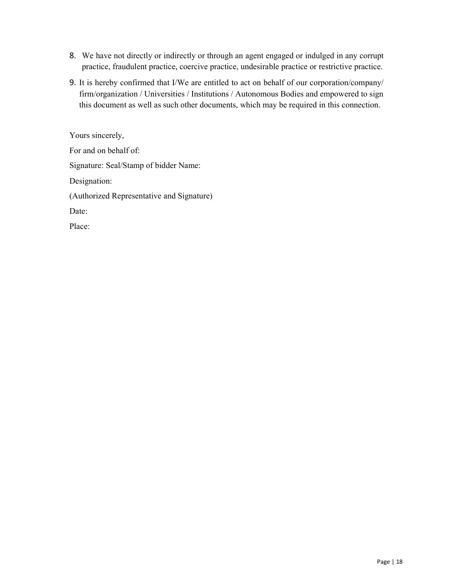- 8. We have not directly or indirectly or through an agent engaged or indulged in any corrupt practice, fraudulent practice, coercive practice, undesirable practice or restrictive practice.
- 9. It is hereby confirmed that I/We are entitled to act on behalf of our corporation/company/ firm/organization / Universities / Institutions / Autonomous Bodies and empowered to sign this document as well as such other documents, which may be required in this connection.

Yours sincerely, For and on behalf of: Signature: Seal/Stamp of bidder Name: Designation: (Authorized Representative and Signature) Date: Place: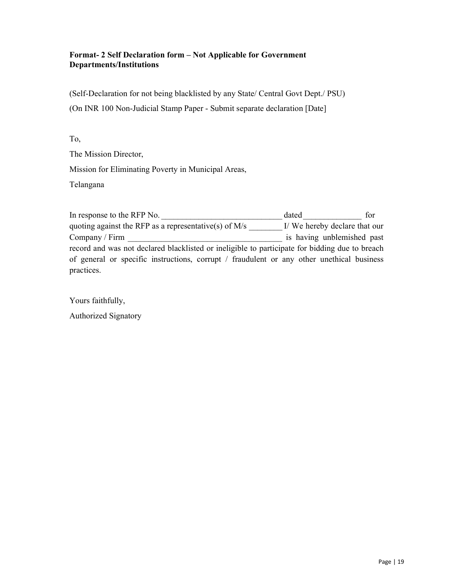#### Format- 2 Self Declaration form – Not Applicable for Government Departments/Institutions

(Self-Declaration for not being blacklisted by any State/ Central Govt Dept./ PSU) (On INR 100 Non-Judicial Stamp Paper - Submit separate declaration [Date]

# To,

The Mission Director,

Mission for Eliminating Poverty in Municipal Areas,

Telangana

In response to the RFP No.  $\qquad \qquad$  dated  $\qquad \qquad$  for quoting against the RFP as a representative(s) of  $M/s$   $I/We$  hereby declare that our Company / Firm is having unblemished past record and was not declared blacklisted or ineligible to participate for bidding due to breach of general or specific instructions, corrupt / fraudulent or any other unethical business practices.

Yours faithfully,

Authorized Signatory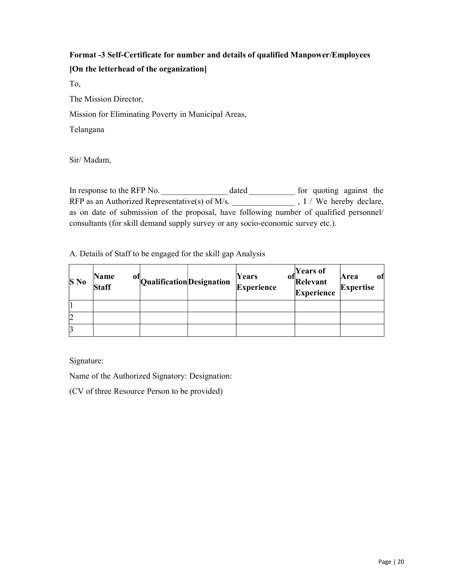# Format -3 Self-Certificate for number and details of qualified Manpower/Employees [On the letterhead of the organization]

To,

The Mission Director,

Mission for Eliminating Poverty in Municipal Areas,

Telangana

Sir/ Madam,

In response to the RFP No. \_\_\_\_\_\_\_\_\_\_\_\_\_\_\_\_\_\_\_\_\_\_\_ dated \_\_\_\_\_\_\_\_\_\_\_\_\_\_ for quoting against the RFP as an Authorized Representative(s) of M/s. \_\_\_\_\_\_\_\_\_\_\_\_\_\_\_\_\_\_\_\_\_\_, I / We hereby declare, as on date of submission of the proposal, have following number of qualified personnel/ consultants (for skill demand supply survey or any socio-economic survey etc.).

A. Details of Staff to be engaged for the skill gap Analysis

| $S$ No | <b>Name</b><br><b>Staff</b> | <sup>of</sup> QualificationDesignation | Years<br>OI.<br>Experience | Years of<br>Relevant<br><b>Experience</b> | Area<br>0Ī<br>Expertise |
|--------|-----------------------------|----------------------------------------|----------------------------|-------------------------------------------|-------------------------|
|        |                             |                                        |                            |                                           |                         |
| 2      |                             |                                        |                            |                                           |                         |
|        |                             |                                        |                            |                                           |                         |

Signature:

Name of the Authorized Signatory: Designation:

(CV of three Resource Person to be provided)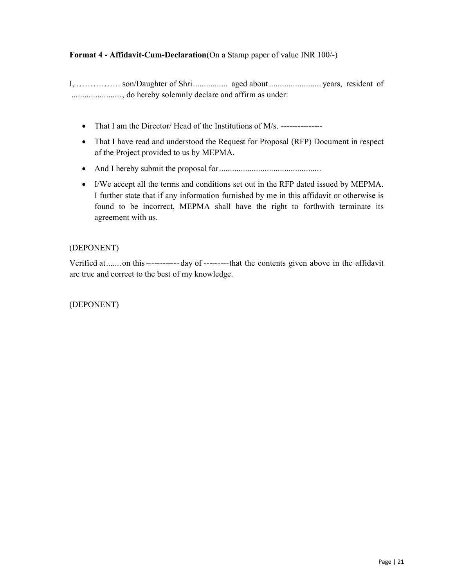# Format 4 - Affidavit-Cum-Declaration(On a Stamp paper of value INR 100/-)

I, ……………. son/Daughter of Shri ................ aged about ........................ years, resident of ....................... , do hereby solemnly declare and affirm as under:

- That I am the Director/ Head of the Institutions of M/s. ----------------
- That I have read and understood the Request for Proposal (RFP) Document in respect of the Project provided to us by MEPMA.
- And I hereby submit the proposal for ...............................................
- I/We accept all the terms and conditions set out in the RFP dated issued by MEPMA. I further state that if any information furnished by me in this affidavit or otherwise is found to be incorrect, MEPMA shall have the right to forthwith terminate its agreement with us.

#### (DEPONENT)

Verified at ....... on this ------------ day of --------- that the contents given above in the affidavit are true and correct to the best of my knowledge.

(DEPONENT)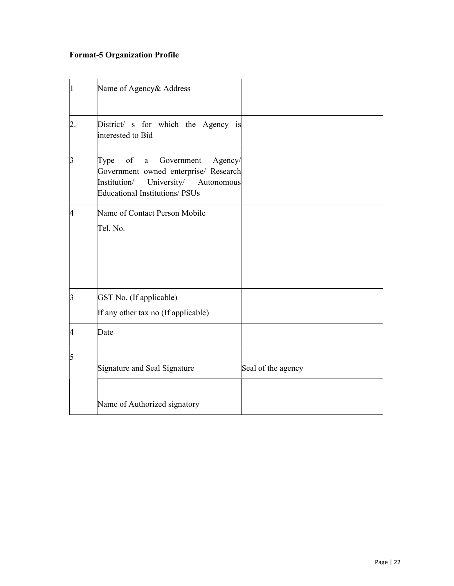# Format-5 Organization Profile

|    | Name of Agency& Address                                                                                                                                                           |                    |
|----|-----------------------------------------------------------------------------------------------------------------------------------------------------------------------------------|--------------------|
| 2. | District/ s for which the Agency is<br>interested to Bid                                                                                                                          |                    |
| 3  | of<br>Government<br>Agency/<br>Type<br>$\mathbf{a}$<br>Government owned enterprise/ Research<br>Institution/<br>University/<br>Autonomous<br><b>Educational Institutions/PSUs</b> |                    |
| 4  | Name of Contact Person Mobile<br>Tel. No.                                                                                                                                         |                    |
| 3  | GST No. (If applicable)<br>If any other tax no (If applicable)                                                                                                                    |                    |
| 4  | Date                                                                                                                                                                              |                    |
| 5  | Signature and Seal Signature                                                                                                                                                      | Seal of the agency |
|    | Name of Authorized signatory                                                                                                                                                      |                    |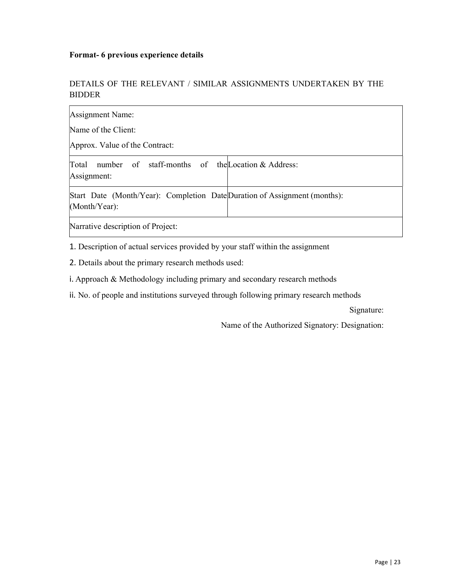#### Format- 6 previous experience details

# DETAILS OF THE RELEVANT / SIMILAR ASSIGNMENTS UNDERTAKEN BY THE BIDDER

| Assignment Name:                                                                              |  |  |  |
|-----------------------------------------------------------------------------------------------|--|--|--|
| Name of the Client:                                                                           |  |  |  |
| Approx. Value of the Contract:                                                                |  |  |  |
| Total<br>number of staff-months of the Location & Address:<br>Assignment:                     |  |  |  |
| Start Date (Month/Year): Completion Date Duration of Assignment (months):<br>$(Month/Year)$ : |  |  |  |
| Narrative description of Project:                                                             |  |  |  |

1. Description of actual services provided by your staff within the assignment

2. Details about the primary research methods used:

i. Approach & Methodology including primary and secondary research methods

ii. No. of people and institutions surveyed through following primary research methods

Signature:

Name of the Authorized Signatory: Designation: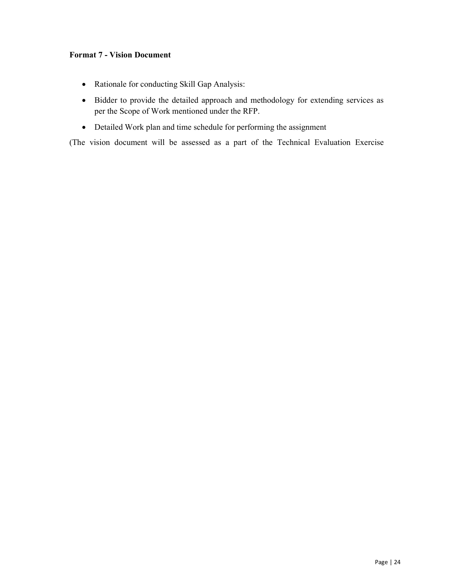#### Format 7 - Vision Document

- Rationale for conducting Skill Gap Analysis:
- Bidder to provide the detailed approach and methodology for extending services as per the Scope of Work mentioned under the RFP.
- Detailed Work plan and time schedule for performing the assignment

(The vision document will be assessed as a part of the Technical Evaluation Exercise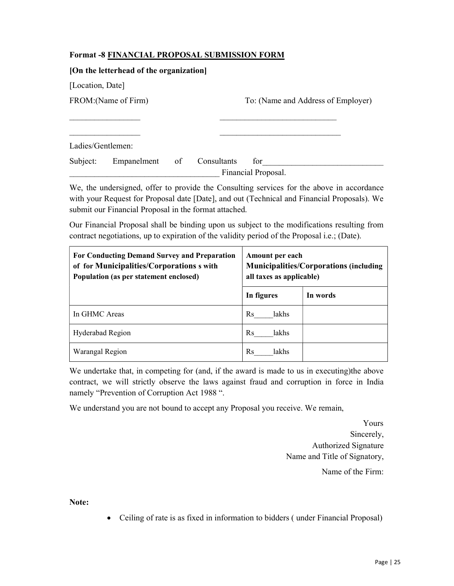# Format -8 FINANCIAL PROPOSAL SUBMISSION FORM

| [On the letterhead of the organization] |             |    |             |                                    |  |  |
|-----------------------------------------|-------------|----|-------------|------------------------------------|--|--|
| [Location, Date]                        |             |    |             |                                    |  |  |
| FROM: (Name of Firm)                    |             |    |             | To: (Name and Address of Employer) |  |  |
|                                         |             |    |             |                                    |  |  |
|                                         |             |    |             |                                    |  |  |
| Ladies/Gentlemen:                       |             |    |             |                                    |  |  |
| Subject:                                | Empanelment | of | Consultants | for                                |  |  |
|                                         |             |    |             | Financial Proposal.                |  |  |

We, the undersigned, offer to provide the Consulting services for the above in accordance with your Request for Proposal date [Date], and out (Technical and Financial Proposals). We submit our Financial Proposal in the format attached.

Our Financial Proposal shall be binding upon us subject to the modifications resulting from contract negotiations, up to expiration of the validity period of the Proposal i.e.; (Date).

| For Conducting Demand Survey and Preparation<br>of for Municipalities/Corporations s with<br>Population (as per statement enclosed) | Amount per each<br><b>Municipalities/Corporations (including)</b><br>all taxes as applicable) |          |  |
|-------------------------------------------------------------------------------------------------------------------------------------|-----------------------------------------------------------------------------------------------|----------|--|
|                                                                                                                                     | In figures                                                                                    | In words |  |
| In GHMC Areas                                                                                                                       | Rs<br>lakhs                                                                                   |          |  |
| Hyderabad Region                                                                                                                    | Rs<br>lakhs                                                                                   |          |  |
| Warangal Region                                                                                                                     | Rs<br>lakhs                                                                                   |          |  |

We undertake that, in competing for (and, if the award is made to us in executing)the above contract, we will strictly observe the laws against fraud and corruption in force in India namely "Prevention of Corruption Act 1988 ".

We understand you are not bound to accept any Proposal you receive. We remain,

 Yours Sincerely, Authorized Signature Name and Title of Signatory, Name of the Firm:

Note:

Ceiling of rate is as fixed in information to bidders ( under Financial Proposal)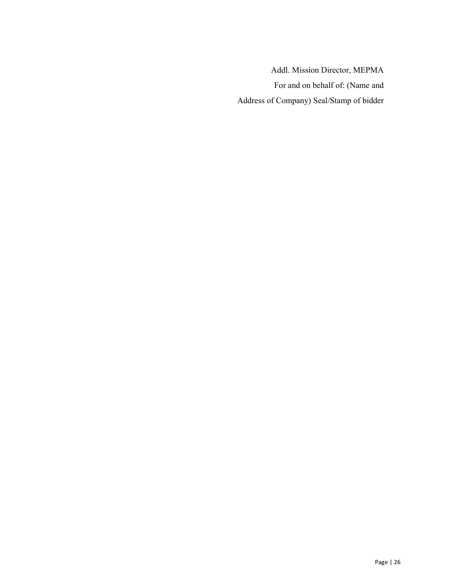Addl. Mission Director, MEPMA For and on behalf of: (Name and Address of Company) Seal/Stamp of bidder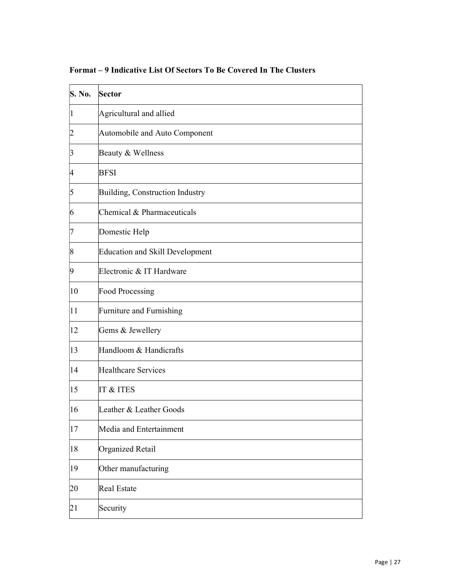| S. No.         | Sector                                 |
|----------------|----------------------------------------|
| 1              | Agricultural and allied                |
| 2              | Automobile and Auto Component          |
| 3              | Beauty & Wellness                      |
| 4              | <b>BFSI</b>                            |
| 5              | Building, Construction Industry        |
| 6              | Chemical & Pharmaceuticals             |
| 7              | Domestic Help                          |
| $\overline{8}$ | <b>Education and Skill Development</b> |
| 9              | Electronic & IT Hardware               |
| 10             | <b>Food Processing</b>                 |
| 11             | Furniture and Furnishing               |
| 12             | Gems & Jewellery                       |
| 13             | Handloom & Handicrafts                 |
| 14             | <b>Healthcare Services</b>             |
| 15             | IT & ITES                              |
| 16             | Leather & Leather Goods                |
| 17             | Media and Entertainment                |
| 18             | Organized Retail                       |
| 19             | Other manufacturing                    |
| 20             | Real Estate                            |
| 21             | Security                               |

Format – 9 Indicative List Of Sectors To Be Covered In The Clusters